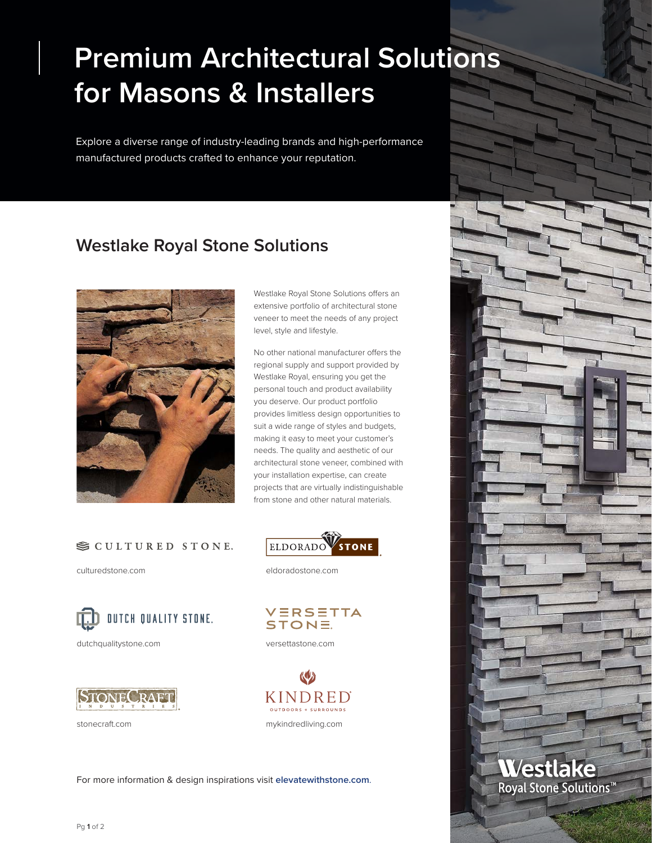## **Premium Architectural Solutions for Masons & Installers**

Explore a diverse range of industry-leading brands and high-performance manufactured products crafted to enhance your reputation.

## **Westlake Royal Stone Solutions**



Westlake Royal Stone Solutions offers an extensive portfolio of architectural stone veneer to meet the needs of any project level, style and lifestyle.

No other national manufacturer offers the regional supply and support provided by Westlake Royal, ensuring you get the personal touch and product availability you deserve. Our product portfolio provides limitless design opportunities to suit a wide range of styles and budgets, making it easy to meet your customer's needs. The quality and aesthetic of our architectural stone veneer, combined with your installation expertise, can create projects that are virtually indistinguishable from stone and other natural materials.

## SCULTURED STONE.

[culturedstone.com](http://culturedstone.com)



[dutchqualitystone.com](http://dutchqualitystone.com) [versettastone.com](http://versettastone.com)





[eldoradostone.com](http://eldoradostone.com)





[stonecraft.com](http://stonecraft.com) [mykindredliving.com](http://www.mykindredliving.com)

For more information & design inspirations visit **[elevatewithstone.com](http://elevatewithstone.com)**.